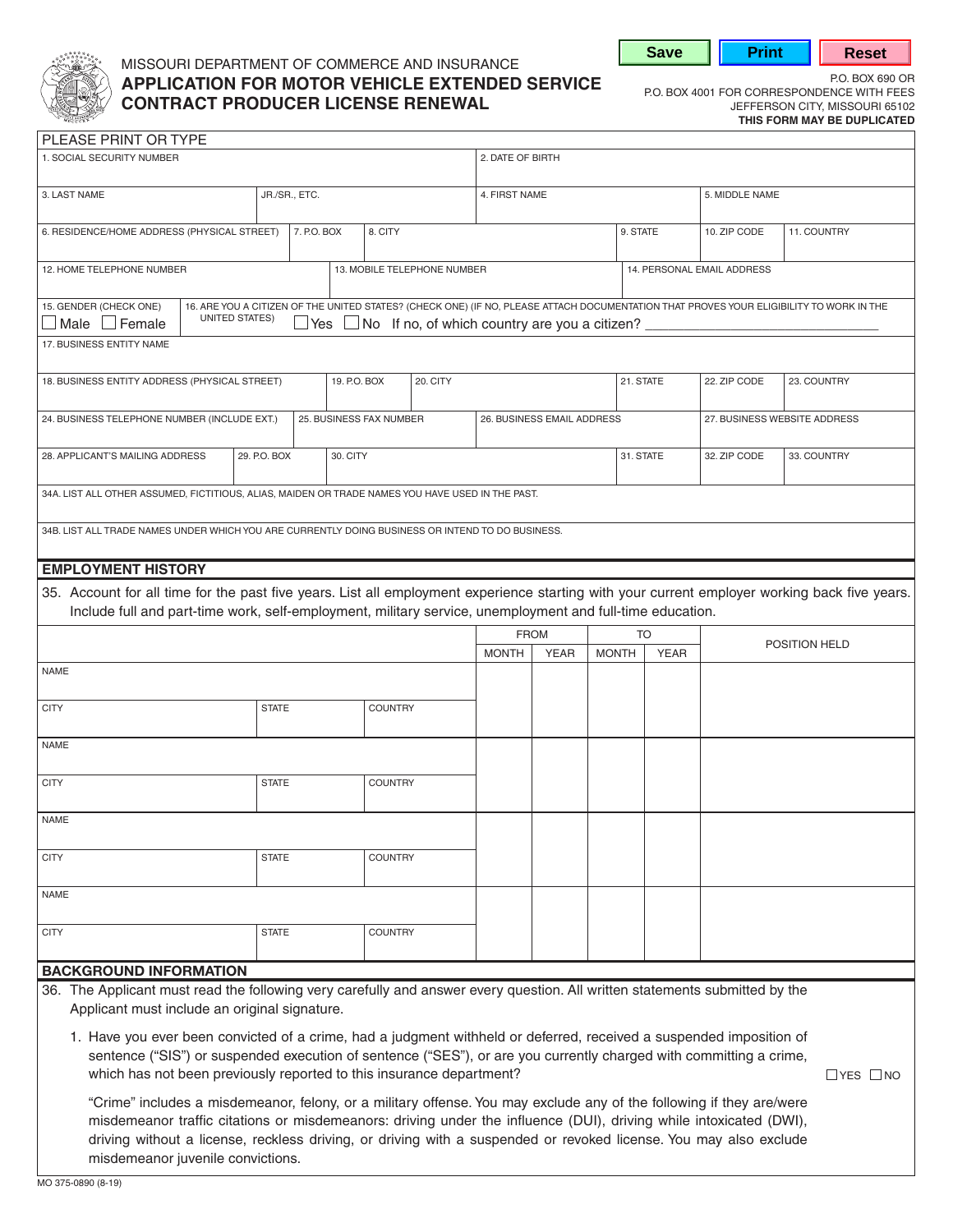

# MISSOURI DEPARTMENT OF COMMERCE AND INSURANCE P.O. BOX 690 OR **APPLICATION FOR MOTOR VEHICLE EXTENDED SERVICE** P.O. BOX 4001 FOR CORRESPONDENCE WITH FEES **CONTRACT PRODUCER LICENSE RENEWAL CONTRACT PRODUCER CONTRACT PRODUCER LICENSE RENEWAL**

**Save | Print | Reset** 

**THIS FORM MAY BE DUPLICATED** 

| PLEASE PRINT OR TYPE                                                                                                                          |               |                         |                             |                                                                      |                  |             |              |                              |                |                                                                                                                                         |
|-----------------------------------------------------------------------------------------------------------------------------------------------|---------------|-------------------------|-----------------------------|----------------------------------------------------------------------|------------------|-------------|--------------|------------------------------|----------------|-----------------------------------------------------------------------------------------------------------------------------------------|
| 1. SOCIAL SECURITY NUMBER                                                                                                                     |               |                         |                             |                                                                      | 2. DATE OF BIRTH |             |              |                              |                |                                                                                                                                         |
|                                                                                                                                               |               |                         |                             |                                                                      |                  |             |              |                              |                |                                                                                                                                         |
| 3. LAST NAME                                                                                                                                  | JR./SR., ETC. |                         |                             |                                                                      | 4. FIRST NAME    |             |              |                              | 5. MIDDLE NAME |                                                                                                                                         |
|                                                                                                                                               |               |                         |                             |                                                                      |                  |             |              |                              |                |                                                                                                                                         |
| 6. RESIDENCE/HOME ADDRESS (PHYSICAL STREET)                                                                                                   |               | 7. P.O. BOX             | 8. CITY                     |                                                                      |                  |             |              | 9. STATE                     | 10. ZIP CODE   | 11. COUNTRY                                                                                                                             |
|                                                                                                                                               |               |                         |                             |                                                                      |                  |             |              | 14. PERSONAL EMAIL ADDRESS   |                |                                                                                                                                         |
| 12. HOME TELEPHONE NUMBER                                                                                                                     |               |                         | 13. MOBILE TELEPHONE NUMBER |                                                                      |                  |             |              |                              |                |                                                                                                                                         |
| 15. GENDER (CHECK ONE)                                                                                                                        |               |                         |                             |                                                                      |                  |             |              |                              |                | 16. ARE YOU A CITIZEN OF THE UNITED STATES? (CHECK ONE) (IF NO, PLEASE ATTACH DOCUMENTATION THAT PROVES YOUR ELIGIBILITY TO WORK IN THE |
| UNITED STATES)<br>$\Box$ Male $\Box$ Female                                                                                                   |               |                         |                             | $\Box$ Yes $\Box$ No If no, of which country are you a citizen? ____ |                  |             |              |                              |                |                                                                                                                                         |
| 17. BUSINESS ENTITY NAME                                                                                                                      |               |                         |                             |                                                                      |                  |             |              |                              |                |                                                                                                                                         |
|                                                                                                                                               |               |                         |                             |                                                                      |                  |             |              |                              |                |                                                                                                                                         |
| 18. BUSINESS ENTITY ADDRESS (PHYSICAL STREET)                                                                                                 |               |                         | 19. P.O. BOX                | 20. CITY                                                             |                  |             |              | 21. STATE                    | 22. ZIP CODE   | 23. COUNTRY                                                                                                                             |
|                                                                                                                                               |               |                         |                             |                                                                      |                  |             |              |                              |                |                                                                                                                                         |
| 24. BUSINESS TELEPHONE NUMBER (INCLUDE EXT.)                                                                                                  |               | 25. BUSINESS FAX NUMBER |                             | 26. BUSINESS EMAIL ADDRESS                                           |                  |             |              | 27. BUSINESS WEBSITE ADDRESS |                |                                                                                                                                         |
|                                                                                                                                               |               |                         |                             |                                                                      |                  |             |              |                              |                |                                                                                                                                         |
| 28. APPLICANT'S MAILING ADDRESS                                                                                                               | 29. P.O. BOX  | 30. CITY                |                             |                                                                      |                  |             |              | 31. STATE                    | 32. ZIP CODE   | 33. COUNTRY                                                                                                                             |
|                                                                                                                                               |               |                         |                             |                                                                      |                  |             |              |                              |                |                                                                                                                                         |
| 34A. LIST ALL OTHER ASSUMED, FICTITIOUS, ALIAS, MAIDEN OR TRADE NAMES YOU HAVE USED IN THE PAST.                                              |               |                         |                             |                                                                      |                  |             |              |                              |                |                                                                                                                                         |
| 34B. LIST ALL TRADE NAMES UNDER WHICH YOU ARE CURRENTLY DOING BUSINESS OR INTEND TO DO BUSINESS.                                              |               |                         |                             |                                                                      |                  |             |              |                              |                |                                                                                                                                         |
|                                                                                                                                               |               |                         |                             |                                                                      |                  |             |              |                              |                |                                                                                                                                         |
| <b>EMPLOYMENT HISTORY</b>                                                                                                                     |               |                         |                             |                                                                      |                  |             |              |                              |                |                                                                                                                                         |
| 35. Account for all time for the past five years. List all employment experience starting with your current employer working back five years. |               |                         |                             |                                                                      |                  |             |              |                              |                |                                                                                                                                         |
| Include full and part-time work, self-employment, military service, unemployment and full-time education.                                     |               |                         |                             |                                                                      |                  |             |              |                              |                |                                                                                                                                         |
|                                                                                                                                               |               |                         |                             |                                                                      |                  |             |              |                              |                |                                                                                                                                         |
|                                                                                                                                               |               |                         |                             |                                                                      |                  |             |              |                              |                |                                                                                                                                         |
|                                                                                                                                               |               |                         |                             |                                                                      | <b>FROM</b>      |             |              | <b>TO</b>                    |                | POSITION HELD                                                                                                                           |
| <b>NAME</b>                                                                                                                                   |               |                         |                             |                                                                      | <b>MONTH</b>     | <b>YEAR</b> | <b>MONTH</b> | <b>YEAR</b>                  |                |                                                                                                                                         |
|                                                                                                                                               |               |                         |                             |                                                                      |                  |             |              |                              |                |                                                                                                                                         |
| <b>CITY</b>                                                                                                                                   | <b>STATE</b>  |                         | <b>COUNTRY</b>              |                                                                      |                  |             |              |                              |                |                                                                                                                                         |
|                                                                                                                                               |               |                         |                             |                                                                      |                  |             |              |                              |                |                                                                                                                                         |
| <b>NAME</b>                                                                                                                                   |               |                         |                             |                                                                      |                  |             |              |                              |                |                                                                                                                                         |
|                                                                                                                                               |               |                         |                             |                                                                      |                  |             |              |                              |                |                                                                                                                                         |
| <b>CITY</b>                                                                                                                                   | <b>STATE</b>  |                         | <b>COUNTRY</b>              |                                                                      |                  |             |              |                              |                |                                                                                                                                         |
|                                                                                                                                               |               |                         |                             |                                                                      |                  |             |              |                              |                |                                                                                                                                         |
| NAME                                                                                                                                          |               |                         |                             |                                                                      |                  |             |              |                              |                |                                                                                                                                         |
|                                                                                                                                               |               |                         |                             |                                                                      |                  |             |              |                              |                |                                                                                                                                         |
| <b>CITY</b>                                                                                                                                   | <b>STATE</b>  |                         | <b>COUNTRY</b>              |                                                                      |                  |             |              |                              |                |                                                                                                                                         |
| <b>NAME</b>                                                                                                                                   |               |                         |                             |                                                                      |                  |             |              |                              |                |                                                                                                                                         |
|                                                                                                                                               |               |                         |                             |                                                                      |                  |             |              |                              |                |                                                                                                                                         |
| <b>CITY</b>                                                                                                                                   | <b>STATE</b>  |                         | <b>COUNTRY</b>              |                                                                      |                  |             |              |                              |                |                                                                                                                                         |
|                                                                                                                                               |               |                         |                             |                                                                      |                  |             |              |                              |                |                                                                                                                                         |
| <b>BACKGROUND INFORMATION</b>                                                                                                                 |               |                         |                             |                                                                      |                  |             |              |                              |                |                                                                                                                                         |
| 36. The Applicant must read the following very carefully and answer every question. All written statements submitted by the                   |               |                         |                             |                                                                      |                  |             |              |                              |                |                                                                                                                                         |
| Applicant must include an original signature.                                                                                                 |               |                         |                             |                                                                      |                  |             |              |                              |                |                                                                                                                                         |
| 1. Have you ever been convicted of a crime, had a judgment withheld or deferred, received a suspended imposition of                           |               |                         |                             |                                                                      |                  |             |              |                              |                |                                                                                                                                         |

which has not been previously reported to this insurance department?  $\Box$  YES  $\Box$  NO

"Crime" includes a misdemeanor, felony, or a military offense. You may exclude any of the following if they are/were misdemeanor traffic citations or misdemeanors: driving under the influence (DUI), driving while intoxicated (DWI), driving without a license, reckless driving, or driving with a suspended or revoked license. You may also exclude misdemeanor juvenile convictions.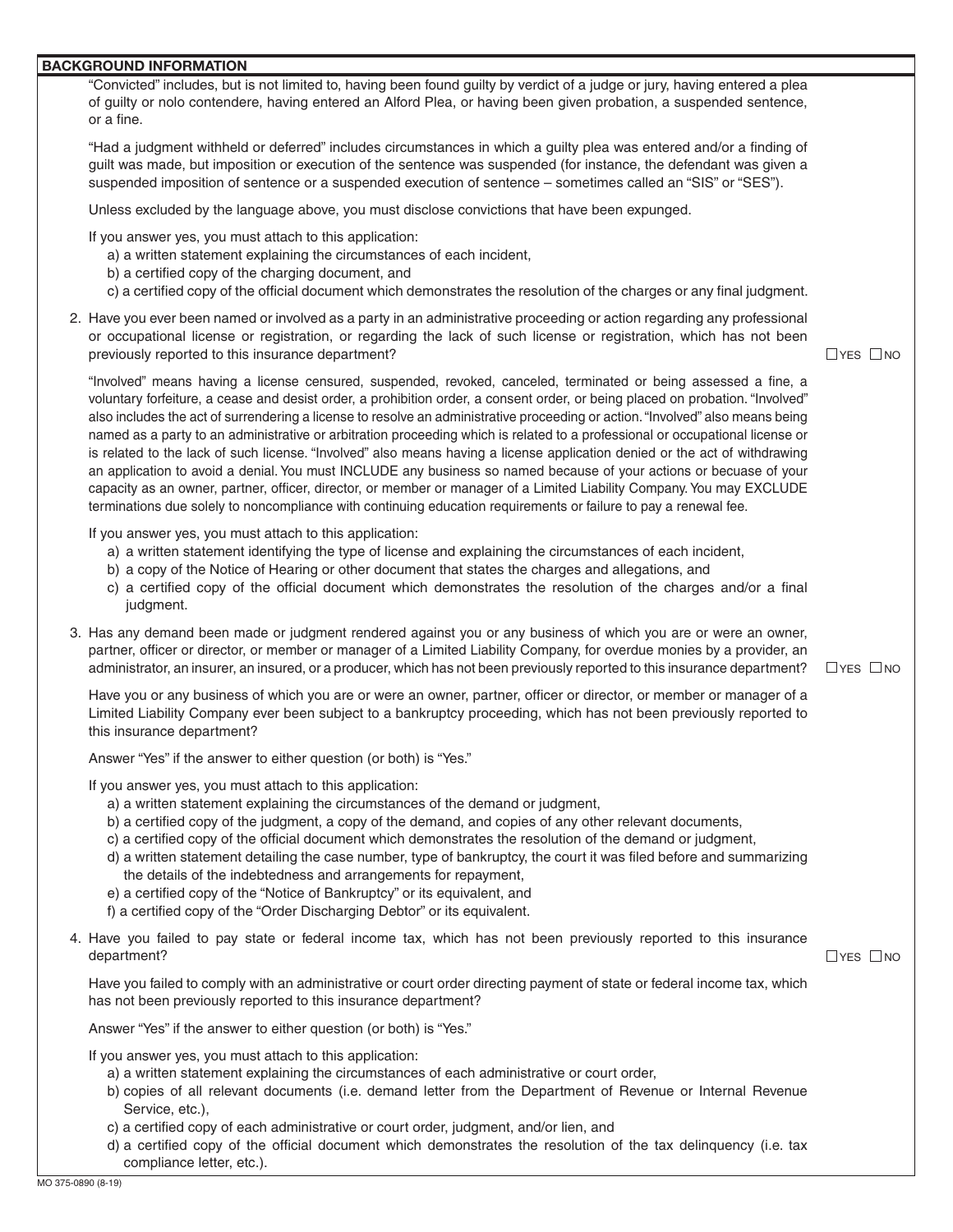#### **BACKGROUND INFORMATION**

"Convicted" includes, but is not limited to, having been found guilty by verdict of a judge or jury, having entered a plea of guilty or nolo contendere, having entered an Alford Plea, or having been given probation, a suspended sentence, or a fine.

"Had a judgment withheld or deferred" includes circumstances in which a guilty plea was entered and/or a finding of guilt was made, but imposition or execution of the sentence was suspended (for instance, the defendant was given a suspended imposition of sentence or a suspended execution of sentence – sometimes called an "SIS" or "SES").

Unless excluded by the language above, you must disclose convictions that have been expunged.

If you answer yes, you must attach to this application:

- a) a written statement explaining the circumstances of each incident,
- b) a certified copy of the charging document, and
- c) a certified copy of the official document which demonstrates the resolution of the charges or any final judgment.
- 2. Have you ever been named or involved as a party in an administrative proceeding or action regarding any professional or occupational license or registration, or regarding the lack of such license or registration, which has not been previously reported to this insurance department?

 $\Box$ YES  $\Box$ NO

 $\Box$ YES  $\Box$ NO

 voluntary forfeiture, a cease and desist order, a prohibition order, a consent order, or being placed on probation. "Involved" also includes the act of surrendering a license to resolve an administrative proceeding or action. "Involved" also means being "Involved" means having a license censured, suspended, revoked, canceled, terminated or being assessed a fine, a named as a party to an administrative or arbitration proceeding which is related to a professional or occupational license or is related to the lack of such license. "Involved" also means having a license application denied or the act of withdrawing an application to avoid a denial. You must INCLUDE any business so named because of your actions or becuase of your capacity as an owner, partner, officer, director, or member or manager of a Limited Liability Company. You may EXCLUDE terminations due solely to noncompliance with continuing education requirements or failure to pay a renewal fee.

If you answer yes, you must attach to this application:

- a) a written statement identifying the type of license and explaining the circumstances of each incident,
- b) a copy of the Notice of Hearing or other document that states the charges and allegations, and
- c) a certified copy of the official document which demonstrates the resolution of the charges and/or a final judgment.
- 3. Has any demand been made or judgment rendered against you or any business of which you are or were an owner, partner, officer or director, or member or manager of a Limited Liability Company, for overdue monies by a provider, an administrator, an insurer, an insured, or a producer, which has not been previously reported to this insurance department?  $\Box$ YES  $\Box$ NO

Have you or any business of which you are or were an owner, partner, officer or director, or member or manager of a Limited Liability Company ever been subject to a bankruptcy proceeding, which has not been previously reported to this insurance department?

Answer "Yes" if the answer to either question (or both) is "Yes."

If you answer yes, you must attach to this application:

- a) a written statement explaining the circumstances of the demand or judgment,
- b) a certified copy of the judgment, a copy of the demand, and copies of any other relevant documents,
- c) a certified copy of the official document which demonstrates the resolution of the demand or judgment,
- d) a written statement detailing the case number, type of bankruptcy, the court it was filed before and summarizing the details of the indebtedness and arrangements for repayment,
- e) a certified copy of the "Notice of Bankruptcy" or its equivalent, and
- f) a certified copy of the "Order Discharging Debtor" or its equivalent.
- 4. Have you failed to pay state or federal income tax, which has not been previously reported to this insurance department?

Have you failed to comply with an administrative or court order directing payment of state or federal income tax, which has not been previously reported to this insurance department?

Answer "Yes" if the answer to either question (or both) is "Yes."

If you answer yes, you must attach to this application:

- a) a written statement explaining the circumstances of each administrative or court order,
- b) copies of all relevant documents (i.e. demand letter from the Department of Revenue or Internal Revenue Service, etc.),
- c) a certified copy of each administrative or court order, judgment, and/or lien, and
- d) a certified copy of the official document which demonstrates the resolution of the tax delinquency (i.e. tax compliance letter, etc.).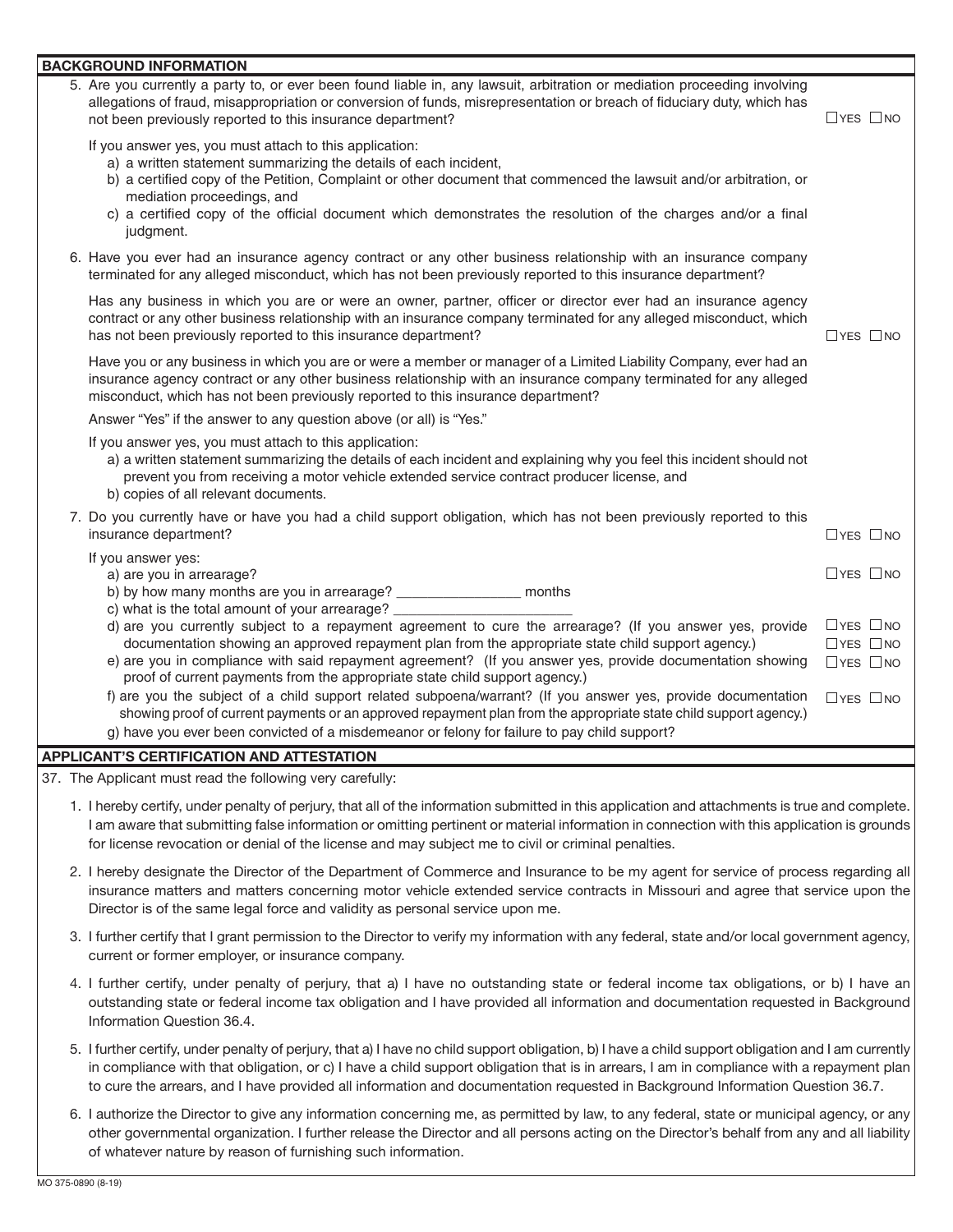| <u>BACKGROUND INFORMATION</u>                                                                                                                                                                                                                                                                                                                                                                                                                                |                                                                      |
|--------------------------------------------------------------------------------------------------------------------------------------------------------------------------------------------------------------------------------------------------------------------------------------------------------------------------------------------------------------------------------------------------------------------------------------------------------------|----------------------------------------------------------------------|
| 5. Are you currently a party to, or ever been found liable in, any lawsuit, arbitration or mediation proceeding involving<br>allegations of fraud, misappropriation or conversion of funds, misrepresentation or breach of fiduciary duty, which has<br>not been previously reported to this insurance department?                                                                                                                                           | $\Box$ YES $\Box$ NO                                                 |
| If you answer yes, you must attach to this application:<br>a) a written statement summarizing the details of each incident,<br>b) a certified copy of the Petition, Complaint or other document that commenced the lawsuit and/or arbitration, or<br>mediation proceedings, and<br>c) a certified copy of the official document which demonstrates the resolution of the charges and/or a final<br>judgment.                                                 |                                                                      |
| 6. Have you ever had an insurance agency contract or any other business relationship with an insurance company<br>terminated for any alleged misconduct, which has not been previously reported to this insurance department?                                                                                                                                                                                                                                |                                                                      |
| Has any business in which you are or were an owner, partner, officer or director ever had an insurance agency<br>contract or any other business relationship with an insurance company terminated for any alleged misconduct, which<br>has not been previously reported to this insurance department?                                                                                                                                                        | $\Box$ YES $\Box$ NO                                                 |
| Have you or any business in which you are or were a member or manager of a Limited Liability Company, ever had an<br>insurance agency contract or any other business relationship with an insurance company terminated for any alleged<br>misconduct, which has not been previously reported to this insurance department?                                                                                                                                   |                                                                      |
| Answer "Yes" if the answer to any question above (or all) is "Yes."                                                                                                                                                                                                                                                                                                                                                                                          |                                                                      |
| If you answer yes, you must attach to this application:<br>a) a written statement summarizing the details of each incident and explaining why you feel this incident should not<br>prevent you from receiving a motor vehicle extended service contract producer license, and<br>b) copies of all relevant documents.                                                                                                                                        |                                                                      |
| 7. Do you currently have or have you had a child support obligation, which has not been previously reported to this<br>insurance department?                                                                                                                                                                                                                                                                                                                 | $\Box$ YES $\Box$ NO                                                 |
| If you answer yes:<br>a) are you in arrearage?<br>b) by how many months are you in arrearage? ___________________ months                                                                                                                                                                                                                                                                                                                                     | $\Box$ YES $\Box$ NO                                                 |
| c) what is the total amount of your arrearage?<br>d) are you currently subject to a repayment agreement to cure the arrearage? (If you answer yes, provide<br>documentation showing an approved repayment plan from the appropriate state child support agency.)<br>e) are you in compliance with said repayment agreement? (If you answer yes, provide documentation showing<br>proof of current payments from the appropriate state child support agency.) | $\Box$ YES $\Box$ NO<br>$\Box$ YES $\Box$ NO<br>$\Box$ YES $\Box$ NO |
| f) are you the subject of a child support related subpoena/warrant? (If you answer yes, provide documentation<br>showing proof of current payments or an approved repayment plan from the appropriate state child support agency.)<br>g) have you ever been convicted of a misdemeanor or felony for failure to pay child support?                                                                                                                           | $\Box$ YES $\Box$ NO                                                 |
| <b>APPLICANT'S CERTIFICATION AND ATTESTATION</b>                                                                                                                                                                                                                                                                                                                                                                                                             |                                                                      |

37. The Applicant must read the following very carefully:

- 1. I hereby certify, under penalty of perjury, that all of the information submitted in this application and attachments is true and complete. I am aware that submitting false information or omitting pertinent or material information in connection with this application is grounds for license revocation or denial of the license and may subject me to civil or criminal penalties.
- 2. I hereby designate the Director of the Department of Commerce and Insurance to be my agent for service of process regarding all insurance matters and matters concerning motor vehicle extended service contracts in Missouri and agree that service upon the Director is of the same legal force and validity as personal service upon me.
- 3. I further certify that I grant permission to the Director to verify my information with any federal, state and/or local government agency, current or former employer, or insurance company.
- 4. I further certify, under penalty of perjury, that a) I have no outstanding state or federal income tax obligations, or b) I have an outstanding state or federal income tax obligation and I have provided all information and documentation requested in Background Information Question 36.4.
- 5. I further certify, under penalty of perjury, that a) I have no child support obligation, b) I have a child support obligation and I am currently in compliance with that obligation, or c) I have a child support obligation that is in arrears, I am in compliance with a repayment plan to cure the arrears, and I have provided all information and documentation requested in Background Information Question 36.7.
- 6. I authorize the Director to give any information concerning me, as permitted by law, to any federal, state or municipal agency, or any other governmental organization. I further release the Director and all persons acting on the Director's behalf from any and all liability of whatever nature by reason of furnishing such information.